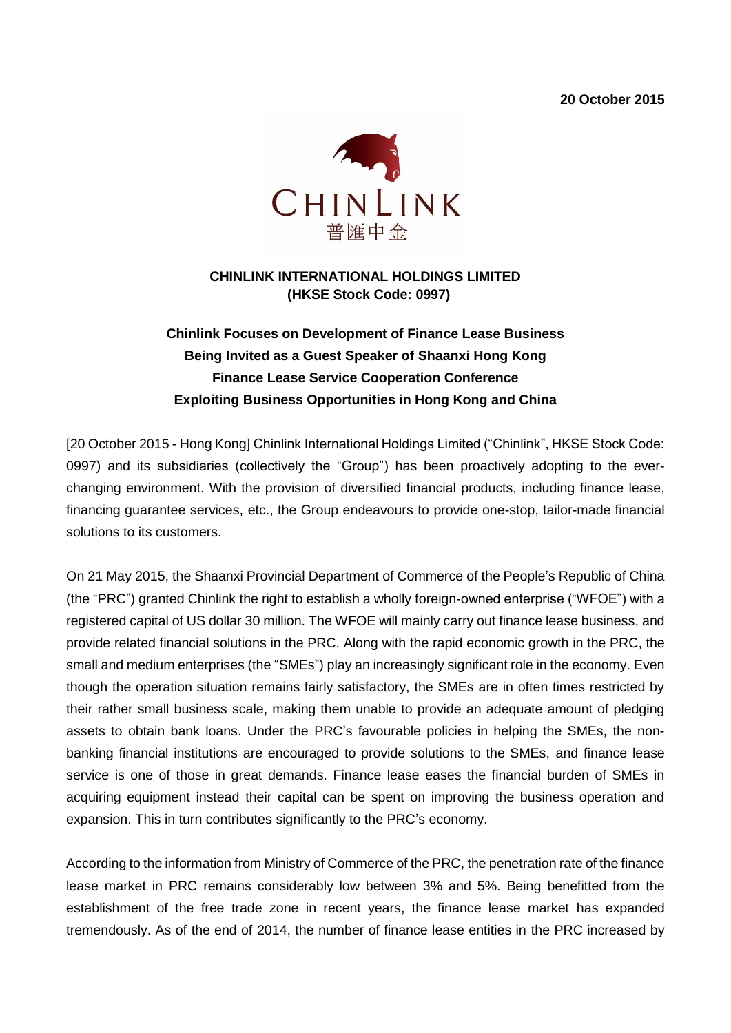**20 October 2015**



#### **CHINLINK INTERNATIONAL HOLDINGS LIMITED (HKSE Stock Code: 0997)**

# **Chinlink Focuses on Development of Finance Lease Business Being Invited as a Guest Speaker of Shaanxi Hong Kong Finance Lease Service Cooperation Conference Exploiting Business Opportunities in Hong Kong and China**

[20 October 2015 - Hong Kong] Chinlink International Holdings Limited ("Chinlink", HKSE Stock Code: 0997) and its subsidiaries (collectively the "Group") has been proactively adopting to the everchanging environment. With the provision of diversified financial products, including finance lease, financing guarantee services, etc., the Group endeavours to provide one-stop, tailor-made financial solutions to its customers.

On 21 May 2015, the Shaanxi Provincial Department of Commerce of the People's Republic of China (the "PRC") granted Chinlink the right to establish a wholly foreign-owned enterprise ("WFOE") with a registered capital of US dollar 30 million. The WFOE will mainly carry out finance lease business, and provide related financial solutions in the PRC. Along with the rapid economic growth in the PRC, the small and medium enterprises (the "SMEs") play an increasingly significant role in the economy. Even though the operation situation remains fairly satisfactory, the SMEs are in often times restricted by their rather small business scale, making them unable to provide an adequate amount of pledging assets to obtain bank loans. Under the PRC's favourable policies in helping the SMEs, the nonbanking financial institutions are encouraged to provide solutions to the SMEs, and finance lease service is one of those in great demands. Finance lease eases the financial burden of SMEs in acquiring equipment instead their capital can be spent on improving the business operation and expansion. This in turn contributes significantly to the PRC's economy.

According to the information from Ministry of Commerce of the PRC, the penetration rate of the finance lease market in PRC remains considerably low between 3% and 5%. Being benefitted from the establishment of the free trade zone in recent years, the finance lease market has expanded tremendously. As of the end of 2014, the number of finance lease entities in the PRC increased by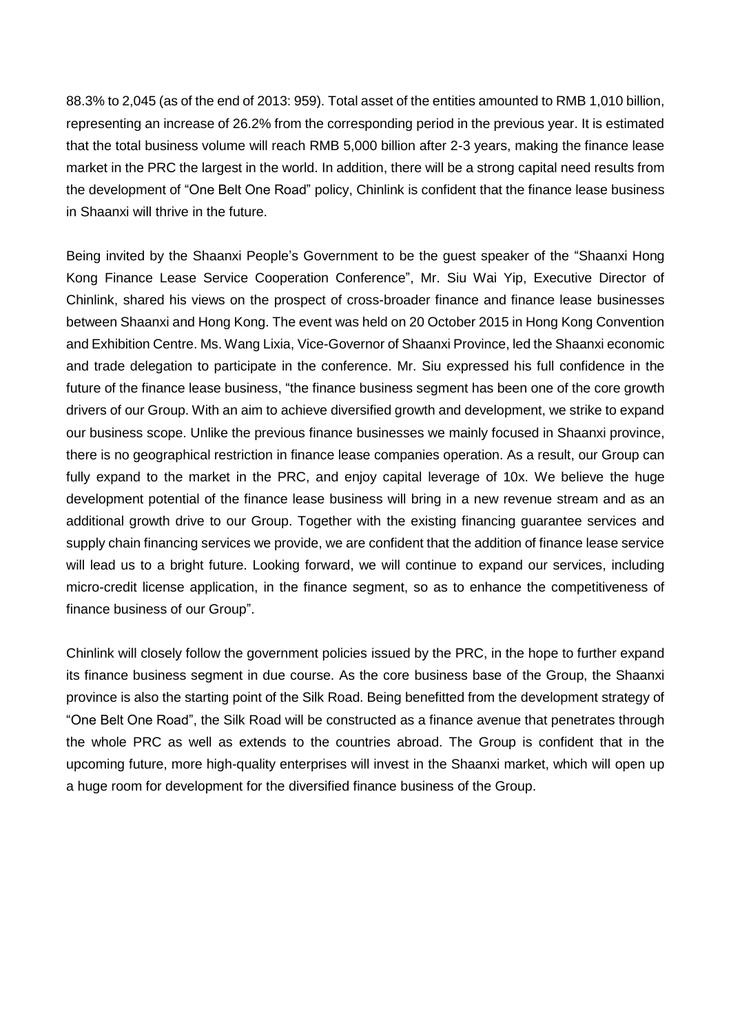88.3% to 2,045 (as of the end of 2013: 959). Total asset of the entities amounted to RMB 1,010 billion, representing an increase of 26.2% from the corresponding period in the previous year. It is estimated that the total business volume will reach RMB 5,000 billion after 2-3 years, making the finance lease market in the PRC the largest in the world. In addition, there will be a strong capital need results from the development of "One Belt One Road" policy, Chinlink is confident that the finance lease business in Shaanxi will thrive in the future.

Being invited by the Shaanxi People's Government to be the guest speaker of the "Shaanxi Hong Kong Finance Lease Service Cooperation Conference", Mr. Siu Wai Yip, Executive Director of Chinlink, shared his views on the prospect of cross-broader finance and finance lease businesses between Shaanxi and Hong Kong. The event was held on 20 October 2015 in Hong Kong Convention and Exhibition Centre. Ms. Wang Lixia, Vice-Governor of Shaanxi Province, led the Shaanxi economic and trade delegation to participate in the conference. Mr. Siu expressed his full confidence in the future of the finance lease business, "the finance business segment has been one of the core growth drivers of our Group. With an aim to achieve diversified growth and development, we strike to expand our business scope. Unlike the previous finance businesses we mainly focused in Shaanxi province, there is no geographical restriction in finance lease companies operation. As a result, our Group can fully expand to the market in the PRC, and enjoy capital leverage of 10x. We believe the huge development potential of the finance lease business will bring in a new revenue stream and as an additional growth drive to our Group. Together with the existing financing guarantee services and supply chain financing services we provide, we are confident that the addition of finance lease service will lead us to a bright future. Looking forward, we will continue to expand our services, including micro-credit license application, in the finance segment, so as to enhance the competitiveness of finance business of our Group".

Chinlink will closely follow the government policies issued by the PRC, in the hope to further expand its finance business segment in due course. As the core business base of the Group, the Shaanxi province is also the starting point of the Silk Road. Being benefitted from the development strategy of "One Belt One Road", the Silk Road will be constructed as a finance avenue that penetrates through the whole PRC as well as extends to the countries abroad. The Group is confident that in the upcoming future, more high-quality enterprises will invest in the Shaanxi market, which will open up a huge room for development for the diversified finance business of the Group.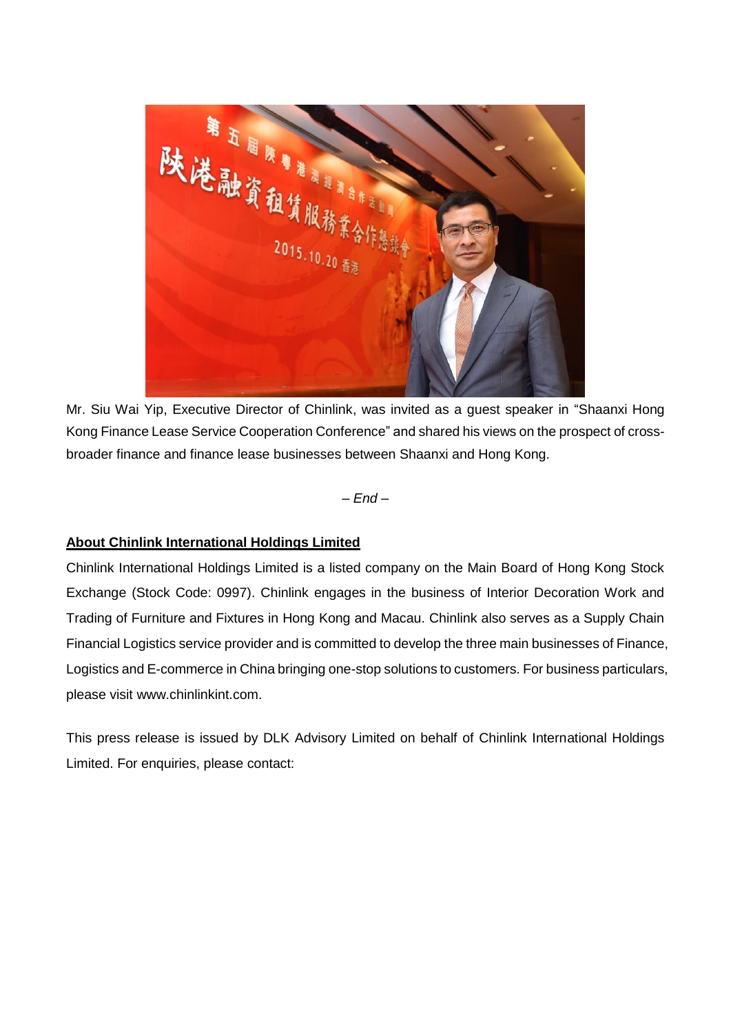

Mr. Siu Wai Yip, Executive Director of Chinlink, was invited as a guest speaker in "Shaanxi Hong Kong Finance Lease Service Cooperation Conference" and shared his views on the prospect of crossbroader finance and finance lease businesses between Shaanxi and Hong Kong.

*– End –*

### **About Chinlink International Holdings Limited**

Chinlink International Holdings Limited is a listed company on the Main Board of Hong Kong Stock Exchange (Stock Code: 0997). Chinlink engages in the business of Interior Decoration Work and Trading of Furniture and Fixtures in Hong Kong and Macau. Chinlink also serves as a Supply Chain Financial Logistics service provider and is committed to develop the three main businesses of Finance, Logistics and E-commerce in China bringing one-stop solutions to customers. For business particulars, please visit www.chinlinkint.com.

This press release is issued by DLK Advisory Limited on behalf of Chinlink International Holdings Limited. For enquiries, please contact: